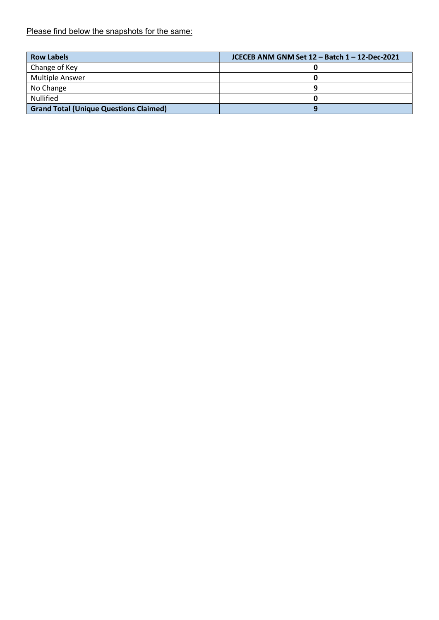Please find below the snapshots for the same:

| <b>Row Labels</b>                             | JCECEB ANM GNM Set 12 - Batch 1 - 12-Dec-2021 |
|-----------------------------------------------|-----------------------------------------------|
| Change of Key                                 |                                               |
| <b>Multiple Answer</b>                        |                                               |
| No Change                                     |                                               |
| <b>Nullified</b>                              |                                               |
| <b>Grand Total (Unique Questions Claimed)</b> |                                               |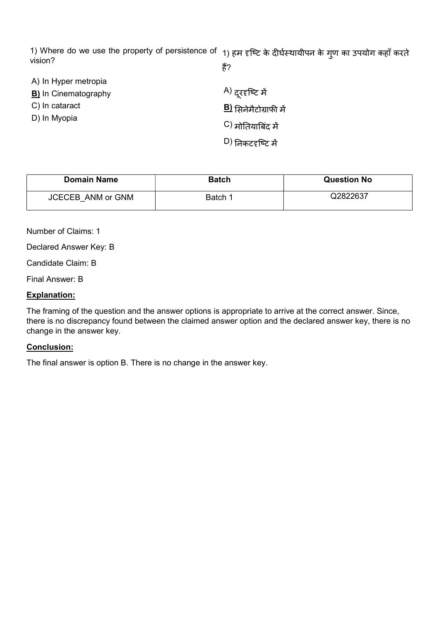1) Where do we use the property of persistence of 1) हम दृष्टि के दीर्घस्थायीपन के गुण का उपयोग कहाँ करते vision? हैं?

| A) In Hyper metropia        |                               |
|-----------------------------|-------------------------------|
| <b>B)</b> In Cinematography | <sup>A)</sup> दूरदृष्टि में   |
| C) In cataract              | <b>B</b> ) सिनेमैटोग्राफी में |
| D) In Myopia                | C) मोतियाबिंद में             |
|                             | <sup>D)</sup> निकटदृष्टि में  |

| <b>Domain Name</b>       | <b>Batch</b> | <b>Question No</b> |
|--------------------------|--------------|--------------------|
| <b>JCECEB ANM or GNM</b> | Batch 1      | Q2822637           |

Number of Claims: 1

Declared Answer Key: B

Candidate Claim: B

Final Answer: B

#### Explanation:

The framing of the question and the answer options is appropriate to arrive at the correct answer. Since, there is no discrepancy found between the claimed answer option and the declared answer key, there is no change in the answer key.

#### Conclusion:

The final answer is option B. There is no change in the answer key.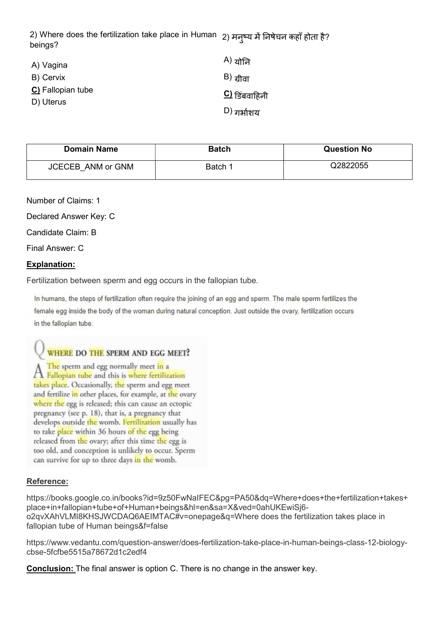2) Where does the fertilization take place in Human 2) मनुष्य में निषेचन कहाँ होता है?<br>' beings?

| A) Vagina                      | A) योनि             |
|--------------------------------|---------------------|
| B) Cervix                      | $\vert$ B) ग्रीवा   |
| C) Fallopian tube<br>D) Uterus | $\Omega$ डिंबवाहिनी |
|                                | $D)$ गर्भाशय        |

| <b>Domain Name</b>       | <b>Batch</b> | <b>Question No</b> |
|--------------------------|--------------|--------------------|
| <b>JCECEB ANM or GNM</b> | Batch 1      | Q2822055           |

Number of Claims: 1

Declared Answer Key: C

Candidate Claim: B

Final Answer: C

### Explanation:

Fertilization between sperm and egg occurs in the fallopian tube.

In humans, the steps of fertilization often require the joining of an egg and sperm. The male sperm fertilizes the female egg inside the body of the woman during natural conception. Just outside the ovary, fertilization occurs in the fallopian tube.

## WHERE DO THE SPERM AND EGG MEET?

The sperm and egg normally meet in a A Fallopian tube and this is where fertilization takes place. Occasionally, the sperm and egg meet and fertilize in other places, for example, at the ovary where the egg is released; this can cause an ectopic pregnancy (see p. 18), that is, a pregnancy that develops outside the womb. Fertilization usually has to take place within 36 hours of the egg being released from the ovary; after this time the egg is too old, and conception is unlikely to occur. Sperm can survive for up to three days in the womb.

#### Reference:

https://books.google.co.in/books?id=9z50FwNaIFEC&pg=PA50&dq=Where+does+the+fertilization+takes+ place+in+fallopian+tube+of+Human+beings&hl=en&sa=X&ved=0ahUKEwiSj6 o2qvXAhVLMI8KHSJWCDAQ6AEIMTAC#v=onepage&q=Where does the fertilization takes place in fallopian tube of Human beings&f=false

https://www.vedantu.com/question-answer/does-fertilization-take-place-in-human-beings-class-12-biologycbse-5fcfbe5515a78672d1c2edf4

Conclusion: The final answer is option C. There is no change in the answer key.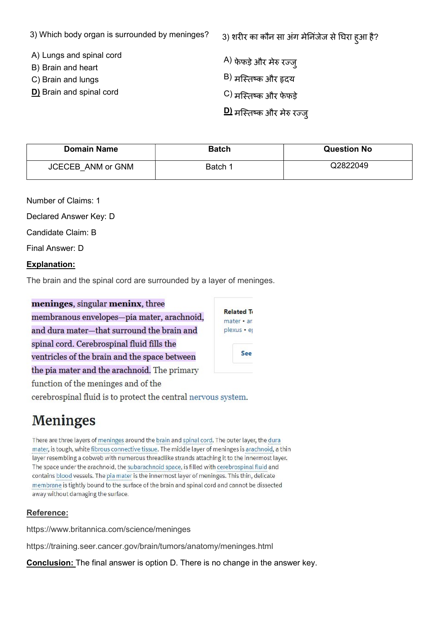|  |  |  |  | 3) Which body organ is surrounded by meninges? |  |  |
|--|--|--|--|------------------------------------------------|--|--|
|--|--|--|--|------------------------------------------------|--|--|

- A) Lungs and spinal cord
- B) Brain and heart
- C) Brain and lungs
- D) Brain and spinal cord

 $A$ ) फेफड़े और मेरु रज्ज

- $B$ ) मस्तिष्क और हृदय
- C) मस्तिष्क और फेफड़े
- <u>D)</u> मस्तिष्क और मेरु रज्जु

| <b>Domain Name</b>       | <b>Batch</b> | <b>Question No</b> |
|--------------------------|--------------|--------------------|
| <b>JCECEB ANM or GNM</b> | Batch 1      | Q2822049           |

Number of Claims: 1

Declared Answer Key: D

Candidate Claim: B

Final Answer: D

## Explanation:

The brain and the spinal cord are surrounded by a layer of meninges.

meninges, singular meninx, three membranous envelopes-pia mater, arachnoid, and dura mater-that surround the brain and spinal cord. Cerebrospinal fluid fills the ventricles of the brain and the space between the pia mater and the arachnoid. The primary function of the meninges and of the

**Related To**  $\mathsf{matter} \cdot \mathsf{ar}$ plexus · ej See

cerebrospinal fluid is to protect the central nervous system.

# **Meninges**

There are three layers of meninges around the brain and spinal cord. The outer layer, the dura mater, is tough, white fibrous connective tissue. The middle layer of meninges is arachnoid, a thin layer resembling a cobweb with numerous threadlike strands attaching it to the innermost layer. The space under the arachnoid, the subarachnoid space, is filled with cerebrospinal fluid and contains blood vessels. The pia mater is the innermost layer of meninges. This thin, delicate membrane is tightly bound to the surface of the brain and spinal cord and cannot be dissected away without damaging the surface.

## Reference:

https://www.britannica.com/science/meninges

https://training.seer.cancer.gov/brain/tumors/anatomy/meninges.html

**Conclusion:** The final answer is option D. There is no change in the answer key.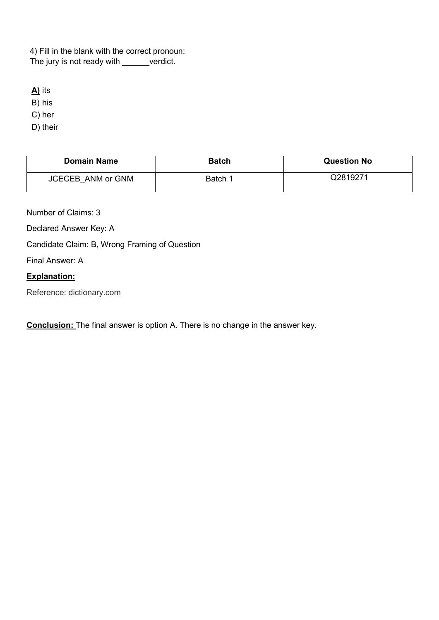4) Fill in the blank with the correct pronoun: The jury is not ready with \_\_\_\_\_verdict.

A) its

B) his

C) her

D) their

| <b>Domain Name</b>       | <b>Batch</b> | <b>Question No</b> |
|--------------------------|--------------|--------------------|
| <b>JCECEB ANM or GNM</b> | Batch 1      | Q2819271           |

Number of Claims: 3

Declared Answer Key: A

Candidate Claim: B, Wrong Framing of Question

Final Answer: A

## Explanation:

Reference: dictionary.com

**Conclusion:** The final answer is option A. There is no change in the answer key.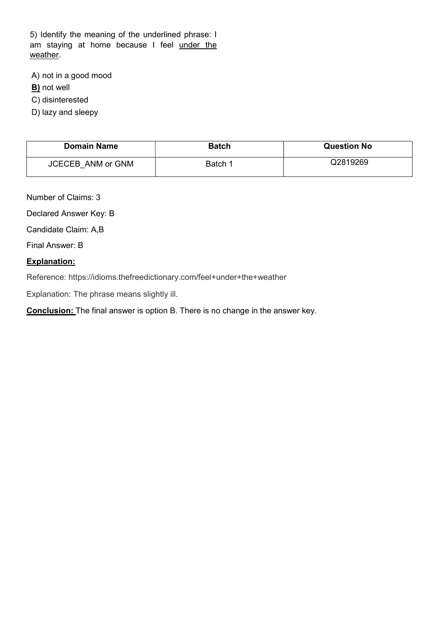5) Identify the meaning of the underlined phrase: I am staying at home because I feel under the weather.

A) not in a good mood

**B)** not well

C) disinterested

D) lazy and sleepy

| <b>Domain Name</b>       | <b>Batch</b> | <b>Question No</b> |
|--------------------------|--------------|--------------------|
| <b>JCECEB ANM or GNM</b> | Batch 1      | Q2819269           |

Number of Claims: 3

Declared Answer Key: B

Candidate Claim: A,B

Final Answer: B

#### Explanation:

Reference: https://idioms.thefreedictionary.com/feel+under+the+weather

Explanation: The phrase means slightly ill.

Conclusion: The final answer is option B. There is no change in the answer key.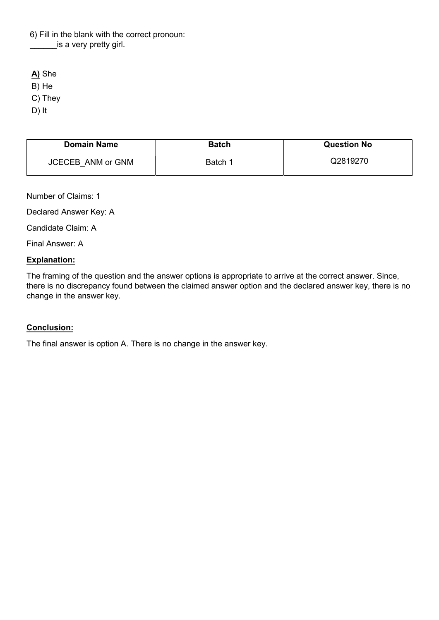6) Fill in the blank with the correct pronoun: is a very pretty girl.

A) She

B) He

C) They

D) It

| <b>Domain Name</b>       | <b>Batch</b> | <b>Question No</b> |
|--------------------------|--------------|--------------------|
| <b>JCECEB ANM or GNM</b> | Batch 1      | Q2819270           |

Number of Claims: 1

Declared Answer Key: A

Candidate Claim: A

Final Answer: A

### Explanation:

The framing of the question and the answer options is appropriate to arrive at the correct answer. Since, there is no discrepancy found between the claimed answer option and the declared answer key, there is no change in the answer key.

## Conclusion:

The final answer is option A. There is no change in the answer key.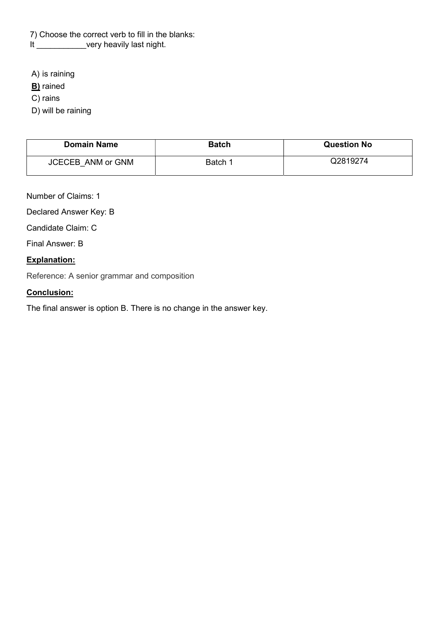7) Choose the correct verb to fill in the blanks:

It \_\_\_\_\_\_\_\_\_\_\_\_very heavily last night.

A) is raining

**B**) rained

C) rains

D) will be raining

| <b>Domain Name</b>       | <b>Batch</b> | <b>Question No</b> |
|--------------------------|--------------|--------------------|
| <b>JCECEB ANM or GNM</b> | Batch 1      | Q2819274           |

Number of Claims: 1

Declared Answer Key: B

Candidate Claim: C

Final Answer: B

### Explanation:

Reference: A senior grammar and composition

## Conclusion:

The final answer is option B. There is no change in the answer key.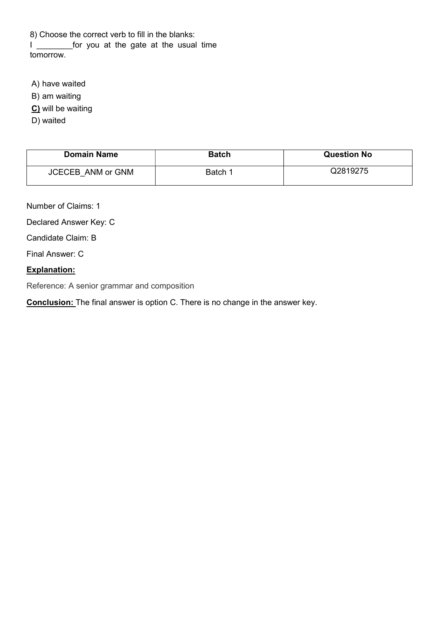8) Choose the correct verb to fill in the blanks: I lead of the gate at the usual time tomorrow.

A) have waited

B) am waiting

C) will be waiting

D) waited

| <b>Domain Name</b>       | <b>Batch</b> | <b>Question No</b> |
|--------------------------|--------------|--------------------|
| <b>JCECEB ANM or GNM</b> | Batch 1      | Q2819275           |

Number of Claims: 1

Declared Answer Key: C

Candidate Claim: B

Final Answer: C

## Explanation:

Reference: A senior grammar and composition

**Conclusion:** The final answer is option C. There is no change in the answer key.